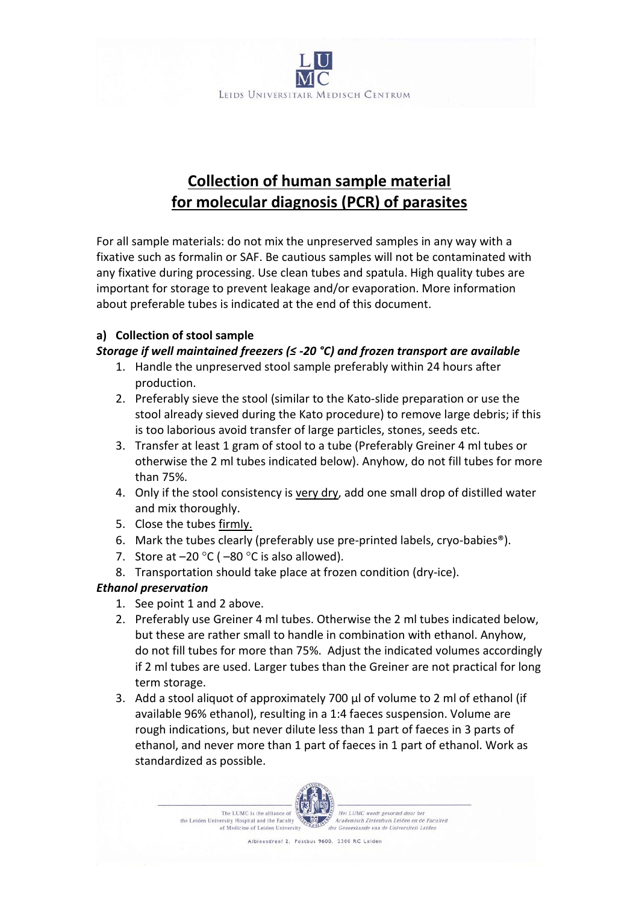

# **Collection of human sample material for molecular diagnosis (PCR) of parasites**

For all sample materials: do not mix the unpreserved samples in any way with a fixative such as formalin or SAF. Be cautious samples will not be contaminated with any fixative during processing. Use clean tubes and spatula. High quality tubes are important for storage to prevent leakage and/or evaporation. More information about preferable tubes is indicated at the end of this document.

## **a) Collection of stool sample**

# *Storage if well maintained freezers (≤ -20 °C) and frozen transport are available*

- 1. Handle the unpreserved stool sample preferably within 24 hours after production.
- 2. Preferably sieve the stool (similar to the Kato-slide preparation or use the stool already sieved during the Kato procedure) to remove large debris; if this is too laborious avoid transfer of large particles, stones, seeds etc.
- 3. Transfer at least 1 gram of stool to a tube (Preferably Greiner 4 ml tubes or otherwise the 2 ml tubes indicated below). Anyhow, do not fill tubes for more than 75%.
- 4. Only if the stool consistency is very dry, add one small drop of distilled water and mix thoroughly.
- 5. Close the tubes firmly.
- 6. Mark the tubes clearly (preferably use pre-printed labels, cryo-babies®).
- 7. Store at  $-20$  °C ( $-80$  °C is also allowed).
- 8. Transportation should take place at frozen condition (dry-ice).

# *Ethanol preservation*

- 1. See point 1 and 2 above.
- 2. Preferably use Greiner 4 ml tubes. Otherwise the 2 ml tubes indicated below, but these are rather small to handle in combination with ethanol. Anyhow, do not fill tubes for more than 75%. Adjust the indicated volumes accordingly if 2 ml tubes are used. Larger tubes than the Greiner are not practical for long term storage.
- 3. Add a stool aliquot of approximately 700 µl of volume to 2 ml of ethanol (if available 96% ethanol), resulting in a 1:4 faeces suspension. Volume are rough indications, but never dilute less than 1 part of faeces in 3 parts of ethanol, and never more than 1 part of faeces in 1 part of ethanol. Work as standardized as possible.

The LUMC is the alliance of the Leiden University Hospital and the Faculty of Medicine of Leiden University



Het LUMC wordt gevormd door he Academisch Ziekenhuis Leiden en de Faculteit der Geneeskunde van de Universiteit Leiden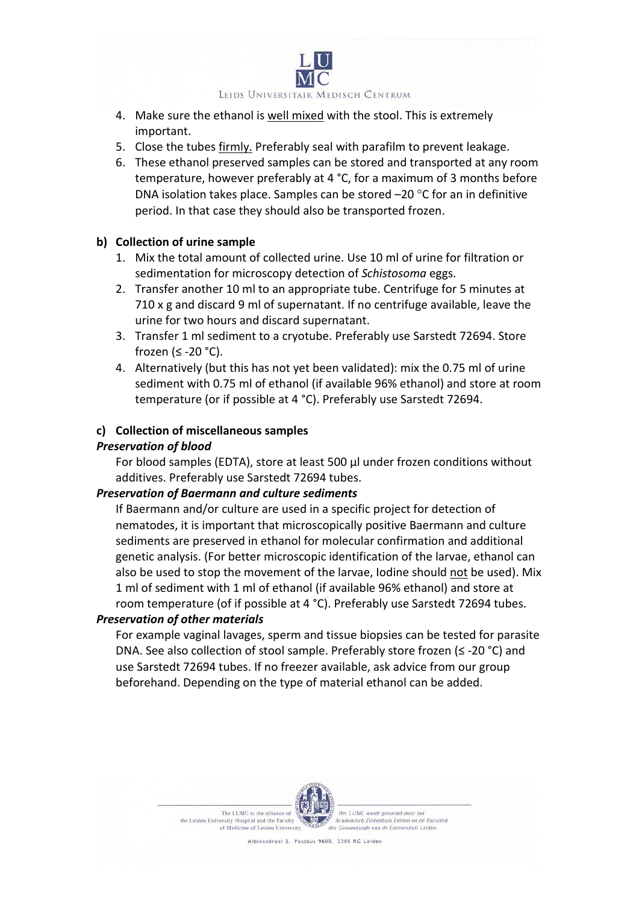LEIDS UNIVERSITAIR MEDISCH CENTRUM

- 4. Make sure the ethanol is well mixed with the stool. This is extremely important.
- 5. Close the tubes firmly. Preferably seal with parafilm to prevent leakage.
- 6. These ethanol preserved samples can be stored and transported at any room temperature, however preferably at 4 °C, for a maximum of 3 months before DNA isolation takes place. Samples can be stored –20 °C for an in definitive period. In that case they should also be transported frozen.

#### **b) Collection of urine sample**

- 1. Mix the total amount of collected urine. Use 10 ml of urine for filtration or sedimentation for microscopy detection of *Schistosoma* eggs.
- 2. Transfer another 10 ml to an appropriate tube. Centrifuge for 5 minutes at 710 x g and discard 9 ml of supernatant. If no centrifuge available, leave the urine for two hours and discard supernatant.
- 3. Transfer 1 ml sediment to a cryotube. Preferably use Sarstedt 72694. Store frozen (≤ -20 °C).
- 4. Alternatively (but this has not yet been validated): mix the 0.75 ml of urine sediment with 0.75 ml of ethanol (if available 96% ethanol) and store at room temperature (or if possible at 4 °C). Preferably use Sarstedt 72694.

#### **c) Collection of miscellaneous samples**

#### *Preservation of blood*

For blood samples (EDTA), store at least 500 µl under frozen conditions without additives. Preferably use Sarstedt 72694 tubes.

#### *Preservation of Baermann and culture sediments*

If Baermann and/or culture are used in a specific project for detection of nematodes, it is important that microscopically positive Baermann and culture sediments are preserved in ethanol for molecular confirmation and additional genetic analysis. (For better microscopic identification of the larvae, ethanol can also be used to stop the movement of the larvae, Iodine should not be used). Mix 1 ml of sediment with 1 ml of ethanol (if available 96% ethanol) and store at room temperature (of if possible at 4 °C). Preferably use Sarstedt 72694 tubes.

#### *Preservation of other materials*

For example vaginal lavages, sperm and tissue biopsies can be tested for parasite DNA. See also collection of stool sample. Preferably store frozen (≤ -20 °C) and use Sarstedt 72694 tubes. If no freezer available, ask advice from our group beforehand. Depending on the type of material ethanol can be added.



The LUMC is the alliance of the Leiden University Hospital and the Faculty of Medicine of Leiden University

Het LUMC wordt gevormd door he Academisch Ziekenhuis Leiden en de Faculteit der Geneeskunde van de Universiteit Leiden

Albinusdreef 2, Postbus 9600, 2300 RC Leider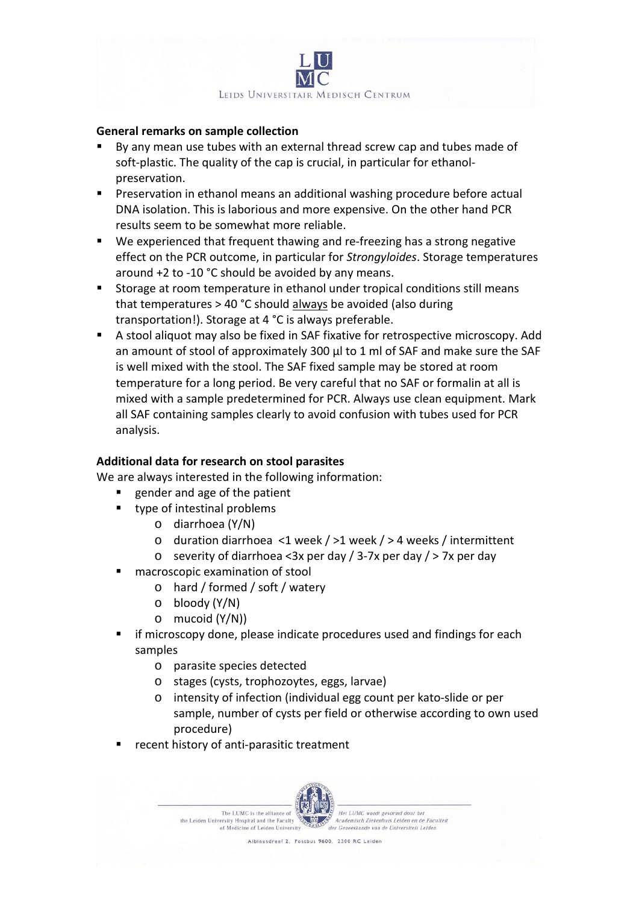

#### **General remarks on sample collection**

- By any mean use tubes with an external thread screw cap and tubes made of soft-plastic. The quality of the cap is crucial, in particular for ethanolpreservation.
- Preservation in ethanol means an additional washing procedure before actual DNA isolation. This is laborious and more expensive. On the other hand PCR results seem to be somewhat more reliable.
- We experienced that frequent thawing and re-freezing has a strong negative effect on the PCR outcome, in particular for *Strongyloides*. Storage temperatures around +2 to -10 °C should be avoided by any means.
- **Storage at room temperature in ethanol under tropical conditions still means** that temperatures > 40 °C should always be avoided (also during transportation!). Storage at 4 °C is always preferable.
- A stool aliquot may also be fixed in SAF fixative for retrospective microscopy. Add an amount of stool of approximately 300 µl to 1 ml of SAF and make sure the SAF is well mixed with the stool. The SAF fixed sample may be stored at room temperature for a long period. Be very careful that no SAF or formalin at all is mixed with a sample predetermined for PCR. Always use clean equipment. Mark all SAF containing samples clearly to avoid confusion with tubes used for PCR analysis.

#### **Additional data for research on stool parasites**

We are always interested in the following information:

- gender and age of the patient
- type of intestinal problems
	- o diarrhoea (Y/N)
	- o duration diarrhoea <1 week / >1 week / > 4 weeks / intermittent
	- $\circ$  severity of diarrhoea <3x per day / 3-7x per day / > 7x per day
- macroscopic examination of stool
	- o hard / formed / soft / watery
	- o bloody (Y/N)
	- o mucoid (Y/N))
- if microscopy done, please indicate procedures used and findings for each samples
	- o parasite species detected
	- o stages (cysts, trophozoytes, eggs, larvae)
	- o intensity of infection (individual egg count per kato-slide or per sample, number of cysts per field or otherwise according to own used procedure)
- recent history of anti-parasitic treatment

The LUMC is the alliance of the Leiden University Hospital and the Faculty of Medicine of Leiden University



Albinusdreef 2, Postbus 9600, 2300 RC Leider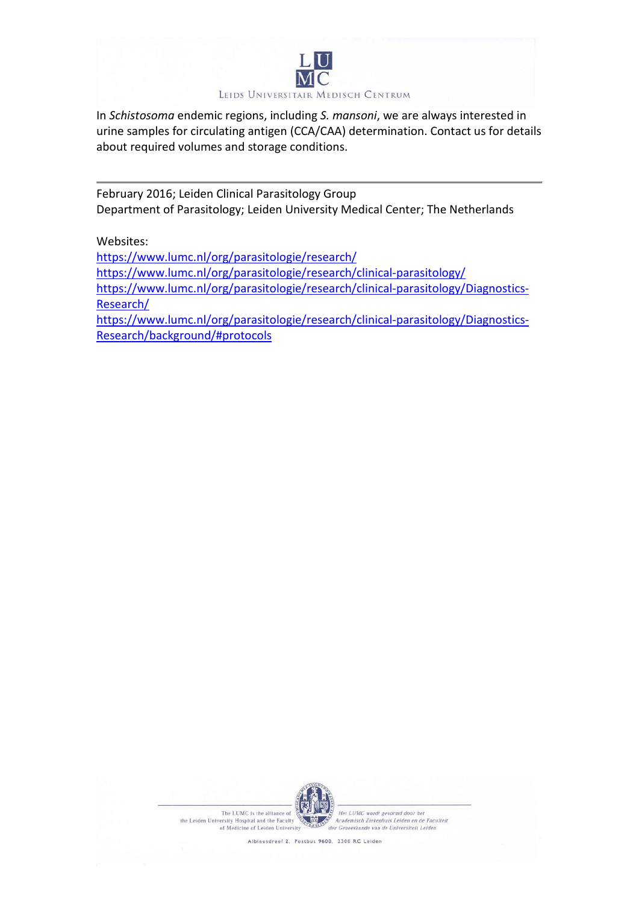

In *Schistosoma* endemic regions, including *S. mansoni*, we are always interested in urine samples for circulating antigen (CCA/CAA) determination. Contact us for details about required volumes and storage conditions.

February 2016; Leiden Clinical Parasitology Group Department of Parasitology; Leiden University Medical Center; The Netherlands

Websites:

<https://www.lumc.nl/org/parasitologie/research/> <https://www.lumc.nl/org/parasitologie/research/clinical-parasitology/> [https://www.lumc.nl/org/parasitologie/research/clinical-parasitology/Diagnostics-](https://www.lumc.nl/org/parasitologie/research/clinical-parasitology/Diagnostics-Research/)[Research/](https://www.lumc.nl/org/parasitologie/research/clinical-parasitology/Diagnostics-Research/) [https://www.lumc.nl/org/parasitologie/research/clinical-parasitology/Diagnostics-](https://www.lumc.nl/org/parasitologie/research/clinical-parasitology/Diagnostics-Research/background/#protocols)[Research/background/#protocols](https://www.lumc.nl/org/parasitologie/research/clinical-parasitology/Diagnostics-Research/background/#protocols)



The LUMC is the alliance of the Leiden University Hospital and the Faculty of Medicine of Leiden University

:<br>|-<br>| Het LUMC wordt gevormd door het<br>| Academisch Ziekenhuis Leiden en de Faculteit der Geneeskunde van de Universiteit Leiden

Albinusdreef 2, Postbus 9600, 2300 RC Leiden